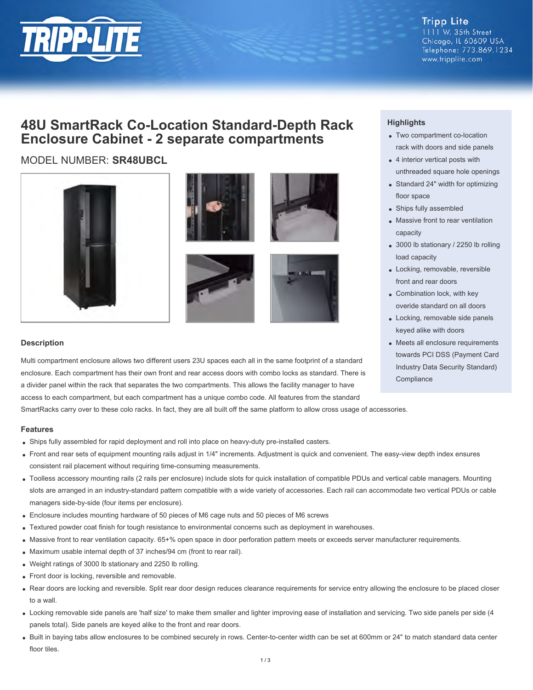

**Tripp Lite** 1111 W. 35th Street Chicago, IL 60609 USA Telephone: 773.869.1234 www.tripplite.com

## **48U SmartRack Co-Location Standard-Depth Rack Enclosure Cabinet - 2 separate compartments**

### MODEL NUMBER: **SR48UBCL**











#### **Description**

Multi compartment enclosure allows two different users 23U spaces each all in the same footprint of a standard enclosure. Each compartment has their own front and rear access doors with combo locks as standard. There is a divider panel within the rack that separates the two compartments. This allows the facility manager to have access to each compartment, but each compartment has a unique combo code. All features from the standard

SmartRacks carry over to these colo racks. In fact, they are all built off the same platform to allow cross usage of accessories.

#### **Features**

- Ships fully assembled for rapid deployment and roll into place on heavy-duty pre-installed casters.
- Front and rear sets of equipment mounting rails adjust in 1/4" increments. Adjustment is quick and convenient. The easy-view depth index ensures consistent rail placement without requiring time-consuming measurements.
- Toolless accessory mounting rails (2 rails per enclosure) include slots for quick installation of compatible PDUs and vertical cable managers. Mounting slots are arranged in an industry-standard pattern compatible with a wide variety of accessories. Each rail can accommodate two vertical PDUs or cable managers side-by-side (four items per enclosure).
- Enclosure includes mounting hardware of 50 pieces of M6 cage nuts and 50 pieces of M6 screws
- Textured powder coat finish for tough resistance to environmental concerns such as deployment in warehouses.
- Massive front to rear ventilation capacity. 65+% open space in door perforation pattern meets or exceeds server manufacturer requirements.
- Maximum usable internal depth of 37 inches/94 cm (front to rear rail).
- Weight ratings of 3000 lb stationary and 2250 lb rolling.
- Front door is locking, reversible and removable.
- Rear doors are locking and reversible. Split rear door design reduces clearance requirements for service entry allowing the enclosure to be placed closer to a wall.
- Locking removable side panels are 'half size' to make them smaller and lighter improving ease of installation and servicing. Two side panels per side (4 panels total). Side panels are keyed alike to the front and rear doors.
- Built in baying tabs allow enclosures to be combined securely in rows. Center-to-center width can be set at 600mm or 24" to match standard data center floor tiles.

#### **Highlights**

- Two compartment co-location rack with doors and side panels
- 4 interior vertical posts with unthreaded square hole openings
- Standard 24" width for optimizing floor space
- Ships fully assembled
- Massive front to rear ventilation capacity
- 3000 lb stationary / 2250 lb rolling load capacity
- Locking, removable, reversible front and rear doors
- Combination lock, with key overide standard on all doors
- Locking, removable side panels keyed alike with doors
- Meets all enclosure requirements towards PCI DSS (Payment Card Industry Data Security Standard) **Compliance**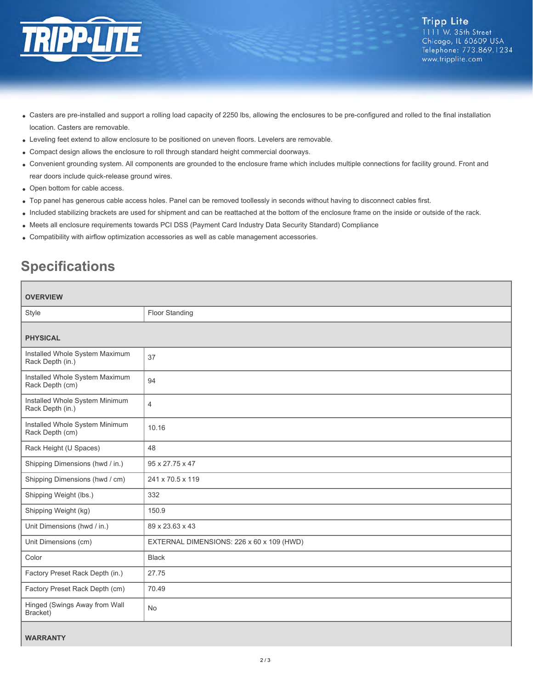

- Casters are pre-installed and support a rolling load capacity of 2250 lbs, allowing the enclosures to be pre-configured and rolled to the final installation location. Casters are removable.
- Leveling feet extend to allow enclosure to be positioned on uneven floors. Levelers are removable.
- Compact design allows the enclosure to roll through standard height commercial doorways.
- Convenient grounding system. All components are grounded to the enclosure frame which includes multiple connections for facility ground. Front and rear doors include quick-release ground wires.
- Open bottom for cable access.
- Top panel has generous cable access holes. Panel can be removed toollessly in seconds without having to disconnect cables first.
- Included stabilizing brackets are used for shipment and can be reattached at the bottom of the enclosure frame on the inside or outside of the rack.
- Meets all enclosure requirements towards PCI DSS (Payment Card Industry Data Security Standard) Compliance
- Compatibility with airflow optimization accessories as well as cable management accessories.

# **Specifications**

| <b>OVERVIEW</b>                                    |                                           |
|----------------------------------------------------|-------------------------------------------|
| Style                                              | Floor Standing                            |
|                                                    |                                           |
| <b>PHYSICAL</b>                                    |                                           |
| Installed Whole System Maximum<br>Rack Depth (in.) | 37                                        |
| Installed Whole System Maximum<br>Rack Depth (cm)  | 94                                        |
| Installed Whole System Minimum<br>Rack Depth (in.) | $\overline{4}$                            |
| Installed Whole System Minimum<br>Rack Depth (cm)  | 10.16                                     |
| Rack Height (U Spaces)                             | 48                                        |
| Shipping Dimensions (hwd / in.)                    | 95 x 27.75 x 47                           |
| Shipping Dimensions (hwd / cm)                     | 241 x 70.5 x 119                          |
| Shipping Weight (lbs.)                             | 332                                       |
| Shipping Weight (kg)                               | 150.9                                     |
| Unit Dimensions (hwd / in.)                        | 89 x 23.63 x 43                           |
| Unit Dimensions (cm)                               | EXTERNAL DIMENSIONS: 226 x 60 x 109 (HWD) |
| Color                                              | <b>Black</b>                              |
| Factory Preset Rack Depth (in.)                    | 27.75                                     |
| Factory Preset Rack Depth (cm)                     | 70.49                                     |
| Hinged (Swings Away from Wall<br>Bracket)          | <b>No</b>                                 |
|                                                    |                                           |